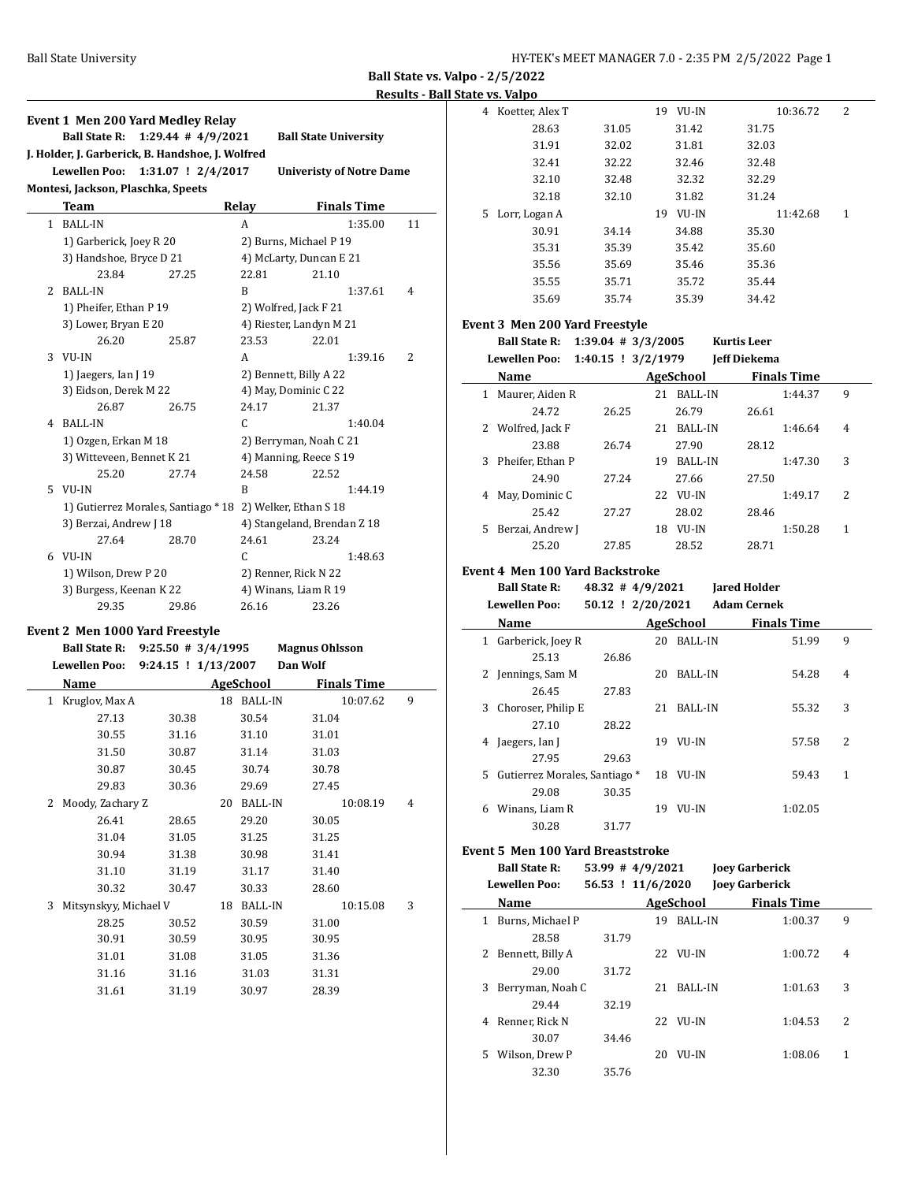**Ball State vs. Valpo - 2/5/2022 Results - Ball State vs. Valpo**

|                                                                                   | <b>Event 1 Men 200 Yard Medley Relay</b> |                        |       |                              |                    |    |  |  |  |  |  |
|-----------------------------------------------------------------------------------|------------------------------------------|------------------------|-------|------------------------------|--------------------|----|--|--|--|--|--|
|                                                                                   | <b>Ball State R:</b>                     | $1:29.44$ # $4/9/2021$ |       | <b>Ball State University</b> |                    |    |  |  |  |  |  |
| J. Holder, J. Garberick, B. Handshoe, J. Wolfred                                  |                                          |                        |       |                              |                    |    |  |  |  |  |  |
| <b>Lewellen Poo:</b><br>$1:31.07$ ! $2/4/2017$<br><b>Univeristy of Notre Dame</b> |                                          |                        |       |                              |                    |    |  |  |  |  |  |
| Montesi, Jackson, Plaschka, Speets                                                |                                          |                        |       |                              |                    |    |  |  |  |  |  |
|                                                                                   | <b>Team</b>                              |                        | Relay |                              | <b>Finals Time</b> |    |  |  |  |  |  |
|                                                                                   | 1 BALL-IN                                |                        | A     |                              | 1:35.00            | 11 |  |  |  |  |  |
|                                                                                   | 1) Garberick, Joey R 20                  |                        |       | 2) Burns, Michael P 19       |                    |    |  |  |  |  |  |
|                                                                                   | 3) Handshoe, Bryce D 21                  |                        |       | 4) McLarty, Duncan E 21      |                    |    |  |  |  |  |  |
|                                                                                   | 23.84                                    | 27.25                  | 22.81 | 21.10                        |                    |    |  |  |  |  |  |
| 2                                                                                 | <b>BALL-IN</b>                           |                        | B     |                              | 1:37.61            | 4  |  |  |  |  |  |
|                                                                                   | 1) Pheifer, Ethan P 19                   |                        |       | 2) Wolfred, Jack F 21        |                    |    |  |  |  |  |  |
|                                                                                   | 3) Lower, Bryan E 20                     |                        |       | 4) Riester, Landyn M 21      |                    |    |  |  |  |  |  |
|                                                                                   | 26.20                                    | 25.87                  | 23.53 | 22.01                        |                    |    |  |  |  |  |  |
| 3                                                                                 | VU-IN                                    |                        | A     |                              | 1:39.16            | 2  |  |  |  |  |  |
|                                                                                   | 1) Jaegers, Ian J 19                     |                        |       | 2) Bennett, Billy A 22       |                    |    |  |  |  |  |  |
|                                                                                   | 3) Eidson, Derek M 22                    |                        |       | 4) May, Dominic C 22         |                    |    |  |  |  |  |  |
|                                                                                   | 26.87                                    | 26.75                  | 24.17 | 21.37                        |                    |    |  |  |  |  |  |
| 4                                                                                 | <b>BALL-IN</b>                           |                        | C     |                              | 1:40.04            |    |  |  |  |  |  |
|                                                                                   | 1) Ozgen, Erkan M 18                     |                        |       | 2) Berryman, Noah C 21       |                    |    |  |  |  |  |  |
|                                                                                   | 3) Witteveen, Bennet K 21                |                        |       | 4) Manning, Reece S 19       |                    |    |  |  |  |  |  |
|                                                                                   | 25.20                                    | 27.74                  | 24.58 | 22.52                        |                    |    |  |  |  |  |  |
| 5.                                                                                | VU-IN                                    |                        | B     |                              | 1:44.19            |    |  |  |  |  |  |
|                                                                                   | 1) Gutierrez Morales, Santiago * 18      |                        |       | 2) Welker, Ethan S 18        |                    |    |  |  |  |  |  |
|                                                                                   | 3) Berzai, Andrew J 18                   |                        |       | 4) Stangeland, Brendan Z 18  |                    |    |  |  |  |  |  |
|                                                                                   | 27.64                                    | 28.70                  | 24.61 | 23.24                        |                    |    |  |  |  |  |  |
|                                                                                   | 6 VU-IN                                  |                        | C     |                              | 1:48.63            |    |  |  |  |  |  |
|                                                                                   | 1) Wilson, Drew P 20                     |                        |       | 2) Renner, Rick N 22         |                    |    |  |  |  |  |  |
|                                                                                   | 3) Burgess, Keenan K 22                  |                        |       | 4) Winans, Liam R 19         |                    |    |  |  |  |  |  |
|                                                                                   | 29.35                                    | 29.86                  | 26.16 | 23.26                        |                    |    |  |  |  |  |  |
|                                                                                   | Event 2 Men 1000 Yard Freestyle          |                        |       |                              |                    |    |  |  |  |  |  |
|                                                                                   | <b>Ball State R:</b>                     | $9:25.50$ # 3/4/1995   |       | <b>Magnus Ohlsson</b>        |                    |    |  |  |  |  |  |
|                                                                                   |                                          |                        |       |                              |                    |    |  |  |  |  |  |

| Lewellen Poo: 9:24.15 ! 1/13/2007 Dan Wolf |       |    |            |                    |   |
|--------------------------------------------|-------|----|------------|--------------------|---|
| Name                                       |       |    | AgeSchool  | <b>Finals Time</b> |   |
| Kruglov, Max A<br>$\mathbf{1}$             |       |    | 18 BALL-IN | 10:07.62           | 9 |
| 27.13                                      | 30.38 |    | 30.54      | 31.04              |   |
| 30.55                                      | 31.16 |    | 31.10      | 31.01              |   |
| 31.50                                      | 30.87 |    | 31.14      | 31.03              |   |
| 30.87                                      | 30.45 |    | 30.74      | 30.78              |   |
| 29.83                                      | 30.36 |    | 29.69      | 27.45              |   |
| Moody, Zachary Z<br>2                      |       | 20 | BALL-IN    | 10:08.19           | 4 |
| 26.41                                      | 28.65 |    | 29.20      | 30.05              |   |
| 31.04                                      | 31.05 |    | 31.25      | 31.25              |   |
| 30.94                                      | 31.38 |    | 30.98      | 31.41              |   |
| 31.10                                      | 31.19 |    | 31.17      | 31.40              |   |
| 30.32                                      | 30.47 |    | 30.33      | 28.60              |   |
| 3<br>Mitsynskyy, Michael V                 |       |    | 18 BALL-IN | 10:15.08           | 3 |
| 28.25                                      | 30.52 |    | 30.59      | 31.00              |   |
| 30.91                                      | 30.59 |    | 30.95      | 30.95              |   |
| 31.01                                      | 31.08 |    | 31.05      | 31.36              |   |
| 31.16                                      | 31.16 |    | 31.03      | 31.31              |   |
| 31.61                                      | 31.19 |    | 30.97      | 28.39              |   |
|                                            |       |    |            |                    |   |

|   | alt v. vaipu    |       |             |          |   |
|---|-----------------|-------|-------------|----------|---|
| 4 | Koetter, Alex T |       | VU-IN<br>19 | 10:36.72 | 2 |
|   | 28.63           | 31.05 | 31.42       | 31.75    |   |
|   | 31.91           | 32.02 | 31.81       | 32.03    |   |
|   | 32.41           | 32.22 | 32.46       | 32.48    |   |
|   | 32.10           | 32.48 | 32.32       | 32.29    |   |
|   | 32.18           | 32.10 | 31.82       | 31.24    |   |
|   | 5 Lorr, Logan A |       | VU-IN<br>19 | 11:42.68 | 1 |
|   | 30.91           | 34.14 | 34.88       | 35.30    |   |
|   | 35.31           | 35.39 | 35.42       | 35.60    |   |
|   | 35.56           | 35.69 | 35.46       | 35.36    |   |
|   | 35.55           | 35.71 | 35.72       | 35.44    |   |
|   | 35.69           | 35.74 | 35.39       | 34.42    |   |
|   |                 |       |             |          |   |

## **Event 3 Men 200 Yard Freestyle**

**Ball State R: 1:39.04 # 3/3/2005 Kurtis Leer**

| Lewellen Poo: 1:40.15 ! 3/2/1979 |  |  |  |  | Jeff Diekema |
|----------------------------------|--|--|--|--|--------------|
|----------------------------------|--|--|--|--|--------------|

|    | Name              | AgeSchool |     |                |       | <b>Finals Time</b> |   |
|----|-------------------|-----------|-----|----------------|-------|--------------------|---|
| 1  | Maurer, Aiden R   |           | 21  | <b>BALL-IN</b> |       | 1:44.37            | 9 |
|    | 24.72             | 26.25     |     | 26.79          | 26.61 |                    |   |
|    | 2 Wolfred, Jack F |           | 21  | <b>BALL-IN</b> |       | 1:46.64            | 4 |
|    | 23.88             | 26.74     |     | 27.90          | 28.12 |                    |   |
| 3  | Pheifer, Ethan P  |           | 19  | <b>BALL-IN</b> |       | 1:47.30            | 3 |
|    | 24.90             | 27.24     |     | 27.66          | 27.50 |                    |   |
| 4  | May, Dominic C    |           | 22. | VU-IN          |       | 1:49.17            | 2 |
|    | 25.42             | 27.27     |     | 28.02          | 28.46 |                    |   |
| 5. | Berzai, Andrew J  |           | 18  | VU-IN          |       | 1:50.28            | 1 |
|    | 25.20             | 27.85     |     | 28.52          | 28.71 |                    |   |

#### **Event 4 Men 100 Yard Backstroke**

| <b>Ball State R:</b> | $48.32 \# 4/9/2021$ | <b>Jared Holder</b> |
|----------------------|---------------------|---------------------|
| <b>Lewellen Poo:</b> | 50.12 ! 2/20/2021   | <b>Adam Cernek</b>  |

|    | Name                          |       |    | AgeSchool      | <b>Finals Time</b> |   |
|----|-------------------------------|-------|----|----------------|--------------------|---|
| 1  | Garberick, Joey R             |       | 20 | <b>BALL-IN</b> | 51.99              | 9 |
|    | 25.13                         | 26.86 |    |                |                    |   |
| 2  | Jennings, Sam M               |       | 20 | <b>BALL-IN</b> | 54.28              | 4 |
|    | 26.45                         | 27.83 |    |                |                    |   |
| 3  | Choroser, Philip E            |       | 21 | <b>BALL-IN</b> | 55.32              | 3 |
|    | 27.10                         | 28.22 |    |                |                    |   |
| 4  | Jaegers, Ian J                |       | 19 | VU-IN          | 57.58              | 2 |
|    | 27.95                         | 29.63 |    |                |                    |   |
| 5. | Gutierrez Morales, Santiago * |       | 18 | VU-IN          | 59.43              | 1 |
|    | 29.08                         | 30.35 |    |                |                    |   |
| 6  | Winans, Liam R                |       | 19 | VU-IN          | 1:02.05            |   |
|    | 30.28                         | 31.77 |    |                |                    |   |

#### **Event 5 Men 100 Yard Breaststroke**

| <b>Ball State R:</b>                 |  | $53.99 + 4/9/2021$ | <b>Joey Garberick</b> |  |  |  |
|--------------------------------------|--|--------------------|-----------------------|--|--|--|
| <b>Lewellen Poo:</b>                 |  | 56.53 ! 11/6/2020  | <b>Joey Garberick</b> |  |  |  |
| Name                                 |  | AgeSchool          | <b>Finals Time</b>    |  |  |  |
| $1 - D_{\text{max}} = M(\text{obs})$ |  | <b>10 DAII INI</b> | 1.00.27               |  |  |  |

| 1 | Burns, Michael P |       | 19 | <b>BALL-IN</b> | 1:00.37 | 9 |
|---|------------------|-------|----|----------------|---------|---|
|   | 28.58            | 31.79 |    |                |         |   |
| 2 | Bennett, Billy A |       | 22 | VU-IN          | 1:00.72 | 4 |
|   | 29.00            | 31.72 |    |                |         |   |
| 3 | Berryman, Noah C |       | 21 | <b>BALL-IN</b> | 1:01.63 | 3 |
|   | 29.44            | 32.19 |    |                |         |   |
| 4 | Renner, Rick N   |       | 22 | VU-IN          | 1:04.53 | 2 |
|   | 30.07            | 34.46 |    |                |         |   |
| 5 | Wilson, Drew P   |       | 20 | VU-IN          | 1:08.06 | 1 |
|   | 32.30            | 35.76 |    |                |         |   |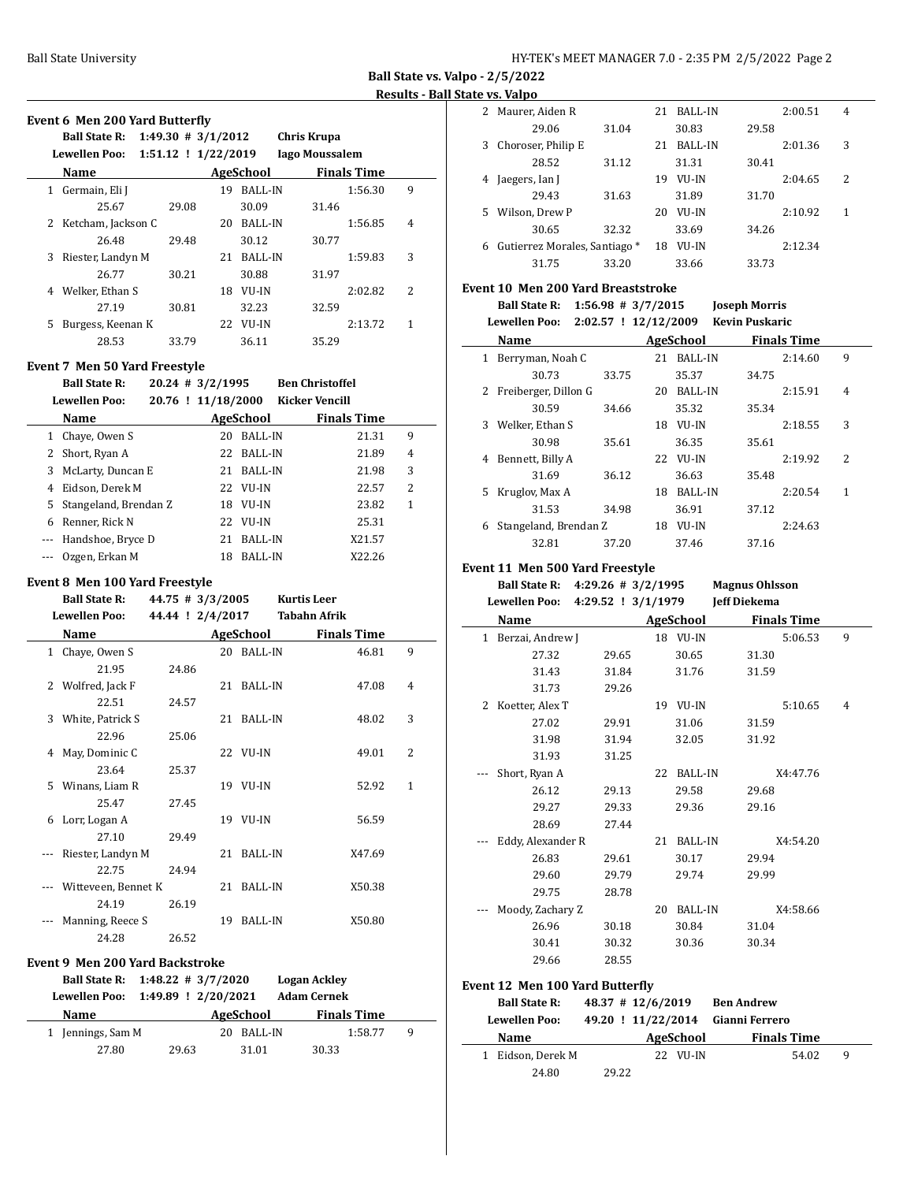| HY-TEK's MEET MANAGER 7.0 - 2:35 PM 2/5/2022 Page 2 |
|-----------------------------------------------------|
|-----------------------------------------------------|

**Ball State vs. Valpo - 2/5/2022**

**State vs. Valpo** 

|     | Event 6 Men 200 Yard Butterfly                         |       |                                      |                     |                                   |                    |                |
|-----|--------------------------------------------------------|-------|--------------------------------------|---------------------|-----------------------------------|--------------------|----------------|
|     | Ball State R: 1:49.30 # 3/1/2012                       |       |                                      |                     | <b>Chris Krupa</b>                |                    |                |
|     |                                                        |       |                                      |                     |                                   |                    |                |
|     | Name AgeSchool Finals Time                             |       |                                      |                     |                                   |                    |                |
|     | 1 Germain, Eli J                                       |       |                                      | 19 BALL-IN          |                                   | 1:56.30            | 9              |
|     | 25.67                                                  | 29.08 |                                      | 30.09               | 31.46                             |                    |                |
|     | 2 Ketcham, Jackson C                                   |       |                                      | 20 BALL-IN          |                                   | 1:56.85            | 4              |
|     | 26.48                                                  | 29.48 |                                      | 30.12               | 30.77                             |                    |                |
|     | 3 Riester, Landyn M                                    |       |                                      | 21 BALL-IN          |                                   | 1:59.83            | 3              |
|     | 26.77                                                  | 30.21 |                                      | 30.88               | 31.97                             |                    |                |
|     | 4 Welker, Ethan S                                      |       |                                      | 18 VU-IN            |                                   | 2:02.82            | 2              |
|     | 27.19                                                  | 30.81 |                                      | 32.23               | 32.59                             |                    |                |
|     | 5 Burgess, Keenan K                                    |       |                                      | 22 VU-IN            |                                   | 2:13.72            | $\mathbf{1}$   |
|     | 28.53                                                  | 33.79 |                                      | 36.11               | 35.29                             |                    |                |
|     | Event 7 Men 50 Yard Freestyle                          |       |                                      |                     |                                   |                    |                |
|     | <b>Ball State R:</b>                                   |       | $20.24$ # 3/2/1995                   |                     | <b>Ben Christoffel</b>            |                    |                |
|     | <b>Lewellen Poo:</b>                                   |       |                                      |                     | 20.76 ! 11/18/2000 Kicker Vencill |                    |                |
|     | <b>Name</b>                                            |       |                                      |                     | AgeSchool Finals Time             |                    |                |
|     | 1 Chave, Owen S                                        |       |                                      | 20 BALL-IN          |                                   | 21.31              | 9              |
|     | 2 Short, Ryan A                                        |       |                                      | 22 BALL-IN          |                                   | 21.89              | 4              |
|     | 3 McLarty, Duncan E                                    |       |                                      | 21 BALL-IN          |                                   | 21.98              | 3              |
|     | 4 Eidson, Derek M                                      |       |                                      | 22 VU-IN            |                                   | 22.57              | $\overline{2}$ |
|     | 5 Stangeland, Brendan Z                                |       |                                      | 18 VU-IN            |                                   | 23.82              | $\mathbf{1}$   |
|     | 6 Renner, Rick N                                       |       |                                      | 22 VU-IN            |                                   | 25.31              |                |
|     |                                                        |       |                                      | 21 BALL-IN          |                                   | X21.57             |                |
|     | --- Handshoe, Bryce D<br>--- Ozgen, Erkan M            |       |                                      | 18 BALL-IN          |                                   | X22.26             |                |
|     |                                                        |       |                                      |                     |                                   |                    |                |
|     | Event 8 Men 100 Yard Freestyle<br><b>Ball State R:</b> |       |                                      |                     | Kurtis Leer                       |                    |                |
|     | <b>Lewellen Poo:</b>                                   |       | 44.75 # 3/3/2005<br>44.44 ! 2/4/2017 |                     | Tabahn Afrik                      |                    |                |
|     | Name                                                   |       |                                      |                     | <b>AgeSchool</b> Finals Time      |                    |                |
|     | 1 Chaye, Owen S                                        |       |                                      | 20 BALL-IN          |                                   | 46.81              | 9              |
|     | 21.95                                                  | 24.86 |                                      |                     |                                   |                    |                |
|     | 2 Wolfred, Jack F                                      |       |                                      | 21 BALL-IN          |                                   | 47.08              | 4              |
|     | 22.51                                                  | 24.57 |                                      |                     |                                   |                    |                |
|     | 3 White, Patrick S                                     |       |                                      | 21 BALL-IN          |                                   | 48.02              | 3              |
|     | 22.96                                                  | 25.06 |                                      |                     |                                   |                    |                |
| 4   | May, Dominic C                                         |       |                                      | 22 VU-IN            |                                   | 49.01              | 2              |
|     | 23.64                                                  | 25.37 |                                      |                     |                                   |                    |                |
|     | 5 Winans, Liam R                                       |       |                                      | 19 VU-IN            |                                   | 52.92              | 1              |
|     | 25.47                                                  | 27.45 |                                      |                     |                                   |                    |                |
|     | 6 Lorr, Logan A                                        |       |                                      | 19 VU-IN            |                                   | 56.59              |                |
|     | 27.10                                                  | 29.49 |                                      |                     |                                   |                    |                |
| --- | Riester, Landyn M                                      |       | 21                                   | BALL-IN             |                                   | X47.69             |                |
|     | 22.75                                                  | 24.94 |                                      |                     |                                   |                    |                |
|     | Witteveen, Bennet K                                    |       | 21                                   | BALL-IN             |                                   | X50.38             |                |
|     | 24.19                                                  | 26.19 |                                      |                     |                                   |                    |                |
|     | --- Manning, Reece S                                   |       |                                      | 19 BALL-IN          |                                   | X50.80             |                |
|     | 24.28                                                  | 26.52 |                                      |                     |                                   |                    |                |
|     |                                                        |       |                                      |                     |                                   |                    |                |
|     | <b>Event 9 Men 200 Yard Backstroke</b>                 |       |                                      |                     |                                   |                    |                |
|     | <b>Ball State R:</b>                                   |       | $1:48.22 \# 3/7/2020$                |                     | <b>Logan Ackley</b>               |                    |                |
|     | <b>Lewellen Poo:</b>                                   |       | 1:49.89 ! 2/20/2021                  |                     | <b>Adam Cernek</b>                |                    |                |
|     | Name                                                   |       |                                      | <b>AgeSchool</b>    |                                   | <b>Finals Time</b> |                |
|     | 1 Jennings, Sam M<br>27.80                             | 29.63 |                                      | 20 BALL-IN<br>31.01 | 30.33                             | 1:58.77            | 9              |

| 2  | Maurer, Aiden R               |       | 21 | <b>BALL-IN</b> |       | 2:00.51 | $\overline{4}$ |
|----|-------------------------------|-------|----|----------------|-------|---------|----------------|
|    | 29.06                         | 31.04 |    | 30.83          | 29.58 |         |                |
| 3  | Choroser, Philip E            |       | 21 | <b>BALL-IN</b> |       | 2:01.36 | 3              |
|    | 28.52                         | 31.12 |    | 31.31          | 30.41 |         |                |
| 4  | Jaegers, Ian J                |       | 19 | VU-IN          |       | 2:04.65 | 2              |
|    | 29.43                         | 31.63 |    | 31.89          | 31.70 |         |                |
| 5. | Wilson, Drew P                |       | 20 | VU-IN          |       | 2:10.92 | 1              |
|    | 30.65                         | 32.32 |    | 33.69          | 34.26 |         |                |
| 6  | Gutierrez Morales, Santiago * |       | 18 | VU-IN          |       | 2:12.34 |                |
|    | 31.75                         | 33.20 |    | 33.66          | 33.73 |         |                |
|    |                               |       |    |                |       |         |                |

#### **Event 10 Men 200 Yard Breaststroke**

**Ball State R: 1:56.98 # 3/7/2015 Joseph Morris Lewellen Poo: 2:02.57 ! 12/12/2009 Kevin Puskaric**

| <b>DUMUNUM 1 00.</b><br>$\frac{1}{2}$ .02.97 . $\frac{1}{2}$ .12/1909 . Revill I donal it |                       |       |    |                |       |                    |   |
|-------------------------------------------------------------------------------------------|-----------------------|-------|----|----------------|-------|--------------------|---|
|                                                                                           | Name                  |       |    | AgeSchool      |       | <b>Finals Time</b> |   |
| 1                                                                                         | Berryman, Noah C      |       | 21 | <b>BALL-IN</b> |       | 2:14.60            | 9 |
|                                                                                           | 30.73                 | 33.75 |    | 35.37          | 34.75 |                    |   |
| 2                                                                                         | Freiberger, Dillon G  |       | 20 | <b>BALL-IN</b> |       | 2:15.91            | 4 |
|                                                                                           | 30.59                 | 34.66 |    | 35.32          | 35.34 |                    |   |
| 3                                                                                         | Welker, Ethan S       |       | 18 | VU-IN          |       | 2:18.55            | 3 |
|                                                                                           | 30.98                 | 35.61 |    | 36.35          | 35.61 |                    |   |
| 4                                                                                         | Bennett, Billy A      |       | 22 | VU-IN          |       | 2:19.92            | 2 |
|                                                                                           | 31.69                 | 36.12 |    | 36.63          | 35.48 |                    |   |
| 5.                                                                                        | Kruglov, Max A        |       | 18 | <b>BALL-IN</b> |       | 2:20.54            | 1 |
|                                                                                           | 31.53                 | 34.98 |    | 36.91          | 37.12 |                    |   |
| 6                                                                                         | Stangeland, Brendan Z |       | 18 | VU-IN          |       | 2:24.63            |   |
|                                                                                           | 32.81                 | 37.20 |    | 37.46          | 37.16 |                    |   |

## **Event 11 Men 500 Yard Freestyle**

**Ball State R: 4:29.26 # 3/2/1995 Magnus Ohlsson**

**Lewellen Poo: 4:29.52 ! 3/1/1979 Jeff Diekema**

|   | Name              |       |    | AgeSchool      | Finals Time |   |
|---|-------------------|-------|----|----------------|-------------|---|
| 1 | Berzai, Andrew J  |       |    | 18 VU-IN       | 5:06.53     | 9 |
|   | 27.32             | 29.65 |    | 30.65          | 31.30       |   |
|   | 31.43             | 31.84 |    | 31.76          | 31.59       |   |
|   | 31.73             | 29.26 |    |                |             |   |
| 2 | Koetter, Alex T   |       | 19 | VU-IN          | 5:10.65     | 4 |
|   | 27.02             | 29.91 |    | 31.06          | 31.59       |   |
|   | 31.98             | 31.94 |    | 32.05          | 31.92       |   |
|   | 31.93             | 31.25 |    |                |             |   |
|   | Short, Ryan A     |       | 22 | BALL-IN        | X4:47.76    |   |
|   | 26.12             | 29.13 |    | 29.58          | 29.68       |   |
|   | 29.27             | 29.33 |    | 29.36          | 29.16       |   |
|   | 28.69             | 27.44 |    |                |             |   |
|   | Eddy, Alexander R |       | 21 | <b>BALL-IN</b> | X4:54.20    |   |
|   | 26.83             | 29.61 |    | 30.17          | 29.94       |   |
|   | 29.60             | 29.79 |    | 29.74          | 29.99       |   |
|   | 29.75             | 28.78 |    |                |             |   |
|   | Moody, Zachary Z  |       | 20 | <b>BALL-IN</b> | X4:58.66    |   |
|   | 26.96             | 30.18 |    | 30.84          | 31.04       |   |
|   | 30.41             | 30.32 |    | 30.36          | 30.34       |   |
|   | 29.66             | 28.55 |    |                |             |   |

#### **Event 12 Men 100 Yard Butterfly**

| <b>Ball State R:</b> | $48.37$ # 12/6/2019 |                    | <b>Ben Andrew</b>  |   |
|----------------------|---------------------|--------------------|--------------------|---|
| <b>Lewellen Poo:</b> |                     | 49.20 ! 11/22/2014 | Gianni Ferrero     |   |
| Name                 |                     | AgeSchool          | <b>Finals Time</b> |   |
| Eidson, Derek M      |                     | 22 VII-IN          | 54.02              | q |
| 24.80                | 29.22               |                    |                    |   |